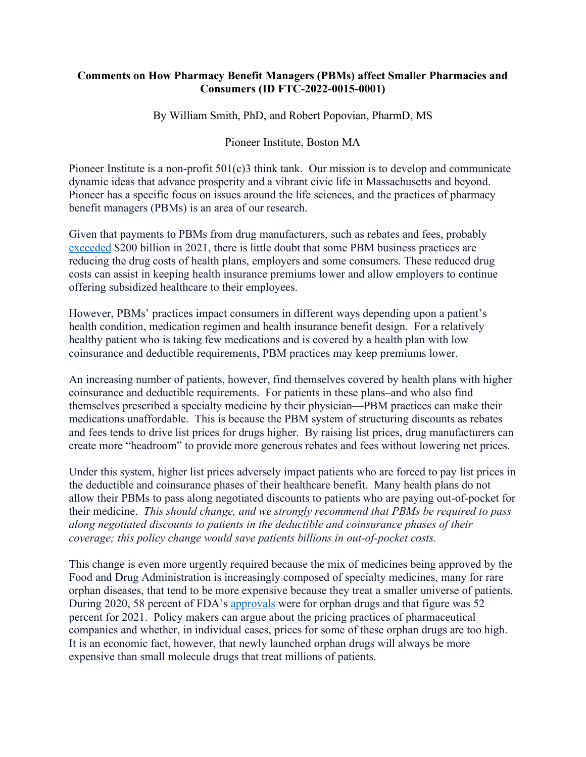## **Comments on How Pharmacy Benefit Managers (PBMs) affect Smaller Pharmacies and Consumers (ID FTC-2022-0015-0001)**

By William Smith, PhD, and Robert Popovian, PharmD, MS

## Pioneer Institute, Boston MA

Pioneer Institute is a non-profit 501(c)3 think tank. Our mission is to develop and communicate dynamic ideas that advance prosperity and a vibrant civic life in Massachusetts and beyond. Pioneer has a specific focus on issues around the life sciences, and the practices of pharmacy benefit managers (PBMs) is an area of our research.

Given that payments to PBMs from drug manufacturers, such as rebates and fees, probably [exceeded](https://www.drugchannels.net/2022/01/tales-of-unsurprised-brand-name-drug.html) \$200 billion in 2021, there is little doubt that some PBM business practices are reducing the drug costs of health plans, employers and some consumers. These reduced drug costs can assist in keeping health insurance premiums lower and allow employers to continue offering subsidized healthcare to their employees.

However, PBMs' practices impact consumers in different ways depending upon a patient's health condition, medication regimen and health insurance benefit design. For a relatively healthy patient who is taking few medications and is covered by a health plan with low coinsurance and deductible requirements, PBM practices may keep premiums lower.

An increasing number of patients, however, find themselves covered by health plans with higher coinsurance and deductible requirements. For patients in these plans–and who also find themselves prescribed a specialty medicine by their physician—PBM practices can make their medications unaffordable. This is because the PBM system of structuring discounts as rebates and fees tends to drive list prices for drugs higher. By raising list prices, drug manufacturers can create more "headroom" to provide more generous rebates and fees without lowering net prices.

Under this system, higher list prices adversely impact patients who are forced to pay list prices in the deductible and coinsurance phases of their healthcare benefit. Many health plans do not allow their PBMs to pass along negotiated discounts to patients who are paying out-of-pocket for their medicine. *This should change, and we strongly recommend that PBMs be required to pass along negotiated discounts to patients in the deductible and coinsurance phases of their coverage; this policy change would save patients billions in out-of-pocket costs.*

This change is even more urgently required because the mix of medicines being approved by the Food and Drug Administration is increasingly composed of specialty medicines, many for rare orphan diseases, that tend to be more expensive because they treat a smaller universe of patients. During 2020, 58 percent of FDA's [approvals](https://globalgenes.org/2022/01/12/a-group-of-innovative-orphan-drugs-win-fda-approval-in-2021/) were for orphan drugs and that figure was 52 percent for 2021. Policy makers can argue about the pricing practices of pharmaceutical companies and whether, in individual cases, prices for some of these orphan drugs are too high. It is an economic fact, however, that newly launched orphan drugs will always be more expensive than small molecule drugs that treat millions of patients.